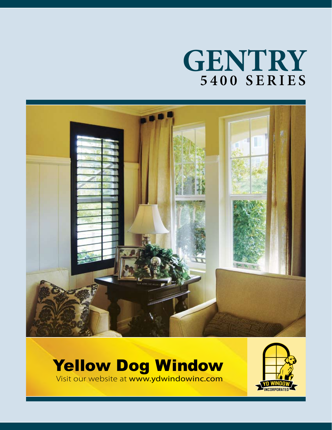# **GENTRY 5 4 0 0 S E R I E S**



## Yellow Dog Window



Visit our website at www.ydwindowinc.com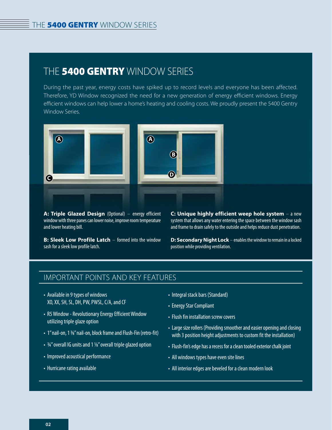## THE **5400 GENTRY** WINDOW SERIES

During the past year, energy costs have spiked up to record levels and everyone has been affected. Therefore, YD Window recognized the need for a new generation of energy efficient windows. Energy efficient windows can help lower a home's heating and cooling costs. We proudly present the 5400 Gentry Window Series.



**A: Triple Glazed Design** (Optional) – energy efficient window with three panes can lower noise, improve room temperature and lower heating bill.

**B: Sleek Low Profile Latch** – formed into the window sash for a sleek low profile latch.

**C: Unique highly efficient weep hole system** – a new system that allows any water entering the space between the window sash and frame to drain safely to the outside and helps reduce dust penetration.

**D: Secondary Night Lock** – enables the window to remain in a locked position while providing ventilation.

#### IMPORTANT POINTS AND KEY FEATURES

- Available in 9 types of windows XO, XX, SH, SL, DH, PW, PWSL, C/A, and CF
- R5 Window Revolutionary Energy Efficient Window utilizing triple glaze option
- 1" nail-on, 1 %" nail-on, block frame and Flush-Fin (retro-fit)
- 34" overall IG units and 1 1/8" overall triple glazed option
- Improved acoustical performance
- Hurricane rating available
- Integral stack bars (Standard)
- Energy Star Compliant
- Flush fin installation screw covers
- Large size rollers (Providing smoother and easier opening and closing with 3 position height adjustments to custom fit the installation)
- Flush-fin's edge has a recess for a clean tooled exterior chalk joint
- All windows types have even site lines
- All interior edges are beveled for a clean modern look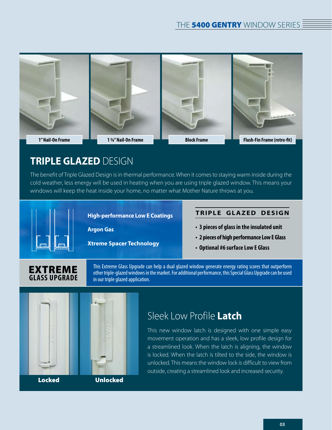

## **TRIPLE GLAZED** DESIGN

The benefit of Triple Glazed Design is in thermal performance. When it comes to staying warm inside during the cold weather, less energy will be used in heating when you are using triple glazed window. This means your windows will keep the heat inside your home, no matter what Mother Nature throws at you.



#### **High-performance Low E Coatings**

**Argon Gas**

**Xtreme Spacer Technology**

#### **TRIPLE GLAZED DESIGN**

- **3 pieces of glass in the insulated unit**
- **2 pieces of high performance Low E Glass**
- **Optional #6 surface Low E Glass**

#### EXTREME **GLASS UPGRADE**

This Extreme Glass Upgrade can help a dual glazed window generate energy rating scores that outperform other triple-glazed windows in the market. For additional performance, this Special Glass Upgrade can be used in our triple glazed application.



## Sleek Low Profile **Latch**

This new window latch is designed with one simple easy movement operation and has a sleek, low profile design for a streamlined look. When the latch is aligning, the window is locked. When the latch is tilted to the side, the window is unlocked. This means the window lock is difficult to view from outside, creating a streamlined look and increased security.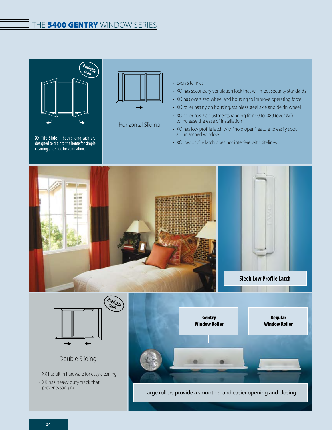#### THE 5400 GENTRY WINDOW SERIES



**XX Tilt Slide** – both sliding sash are designed to tilt into the home for simple cleaning and slide for ventilation.



Horizontal Sliding

- Even site lines
- XO has secondary ventilation lock that will meet security standards
- XO has oversized wheel and housing to improve operating force
- XO roller has nylon housing, stainless steel axle and delrin wheel
- XO roller has 3 adjustments ranging from 0 to .080 (over 1/6") to increase the ease of installation
- XO has low profile latch with "hold open" feature to easily spot an unlatched window
- XO low profile latch does not interfere with sitelines



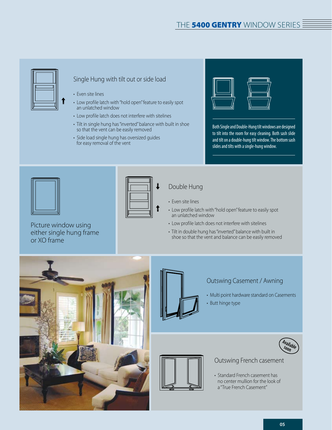

#### Single Hung with tilt out or side load

- Even site lines
- Low profile latch with "hold open" feature to easily spot an unlatched window
- Low profile latch does not interfere with sitelines
- Tilt in single hung has "inverted" balance with built in shoe so that the vent can be easily removed
- Side load single hung has oversized guides for easy removal of the vent



Both Single and Double-Hung tilt windows are designed to tilt into the room for easy cleaning. Both sash slide and tilt on a double-hung tilt window. The bottom sash slides and tilts with a single-hung window.



or XO frame

Picture window using either single hung frame

#### Double Hung

- Even site lines
- Low profile latch with "hold open" feature to easily spot an unlatched window
- Low profile latch does not interfere with sitelines
- Tilt in double hung has "inverted" balance with built in shoe so that the vent and balance can be easily removed



#### Outswing Casement / Awning

- Multi point hardware standard on Casements
- Butt hinge type



#### Outswing French casement

• Standard French casement has no center mullion for the look of a "True French Casement"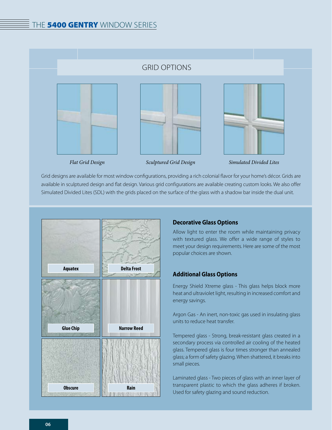#### GRID OPTIONS







*Sculptured Grid Design Flat Grid Design Simulated Divided Lites*

Grid designs are available for most window configurations, providing a rich colonial flavor for your home's décor. Grids are available in sculptured design and flat design. Various grid configurations are available creating custom looks. We also offer Simulated Divided Lites (SDL) with the grids placed on the surface of the glass with a shadow bar inside the dual unit.



#### **Decorative Glass Options**

Allow light to enter the room while maintaining privacy with textured glass. We offer a wide range of styles to meet your design requirements. Here are some of the most popular choices are shown.

#### **Additional Glass Options**

Energy Shield Xtreme glass - This glass helps block more heat and ultraviolet light, resulting in increased comfort and energy savings.

Argon Gas - An inert, non-toxic gas used in insulating glass units to reduce heat transfer.

Tempered glass - Strong, break-resistant glass created in a secondary process via controlled air cooling of the heated glass. Tempered glass is four times stronger than annealed glass; a form of safety glazing. When shattered, it breaks into small pieces.

Laminated glass - Two pieces of glass with an inner layer of transparent plastic to which the glass adheres if broken. Used for safety glazing and sound reduction.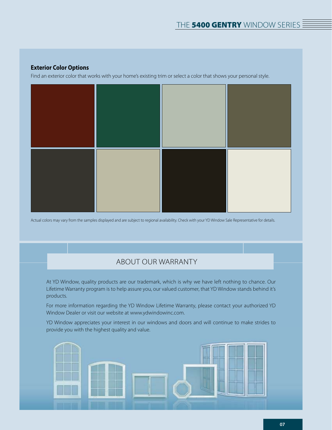#### **Exterior Color Options**

Find an exterior color that works with your home's existing trim or select a color that shows your personal style.



Actual colors may vary from the samples displayed and are subject to regional availability. Check with your YD Window Sale Representative for details.

#### ABOUT OUR WARRANTY

At YD Window, quality products are our trademark, which is why we have left nothing to chance. Our Lifetime Warranty program is to help assure you, our valued customer, that YD Window stands behind it's products.

For more information regarding the YD Window Lifetime Warranty, please contact your authorized YD Window Dealer or visit our website at www.ydwindowinc.com.

YD Window appreciates your interest in our windows and doors and will continue to make strides to provide you with the highest quality and value.